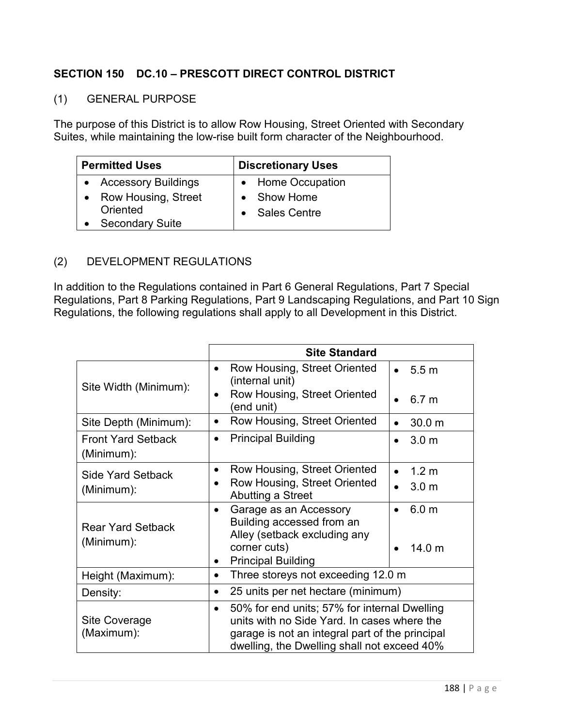## **SECTION 150 DC.10 – PRESCOTT DIRECT CONTROL DISTRICT**

## (1) GENERAL PURPOSE

The purpose of this District is to allow Row Housing, Street Oriented with Secondary Suites, while maintaining the low-rise built form character of the Neighbourhood.

| <b>Permitted Uses</b>  | <b>Discretionary Uses</b> |
|------------------------|---------------------------|
| • Accessory Buildings  | • Home Occupation         |
| • Row Housing, Street  | • Show Home               |
| Oriented               | • Sales Centre            |
| <b>Secondary Suite</b> |                           |

## (2) DEVELOPMENT REGULATIONS

In addition to the Regulations contained in Part 6 General Regulations, Part 7 Special Regulations, Part 8 Parking Regulations, Part 9 Landscaping Regulations, and Part 10 Sign Regulations, the following regulations shall apply to all Development in this District.

|                                         | <b>Site Standard</b>                                                                                                                                                                                       |                               |
|-----------------------------------------|------------------------------------------------------------------------------------------------------------------------------------------------------------------------------------------------------------|-------------------------------|
| Site Width (Minimum):                   | Row Housing, Street Oriented<br>$\bullet$<br>(internal unit)                                                                                                                                               | • 5.5 m                       |
|                                         | Row Housing, Street Oriented<br>$\bullet$<br>(end unit)                                                                                                                                                    | 6.7 <sub>m</sub>              |
| Site Depth (Minimum):                   | Row Housing, Street Oriented<br>$\bullet$                                                                                                                                                                  | 30.0 m                        |
| <b>Front Yard Setback</b><br>(Minimum): | <b>Principal Building</b><br>$\bullet$                                                                                                                                                                     | 3.0 <sub>m</sub>              |
| Side Yard Setback<br>(Minimum):         | Row Housing, Street Oriented<br>$\bullet$                                                                                                                                                                  | 1.2 <sub>m</sub>              |
|                                         | Row Housing, Street Oriented<br>Abutting a Street                                                                                                                                                          | 3.0 <sub>m</sub><br>$\bullet$ |
| <b>Rear Yard Setback</b><br>(Minimum):  | Garage as an Accessory<br>$\bullet$<br>Building accessed from an<br>Alley (setback excluding any<br>corner cuts)<br><b>Principal Building</b>                                                              | 6.0 <sub>m</sub><br>14.0 m    |
| Height (Maximum):                       | Three storeys not exceeding 12.0 m<br>$\bullet$                                                                                                                                                            |                               |
| Density:                                | 25 units per net hectare (minimum)<br>$\bullet$                                                                                                                                                            |                               |
| Site Coverage<br>(Maximum):             | 50% for end units; 57% for internal Dwelling<br>$\bullet$<br>units with no Side Yard. In cases where the<br>garage is not an integral part of the principal<br>dwelling, the Dwelling shall not exceed 40% |                               |